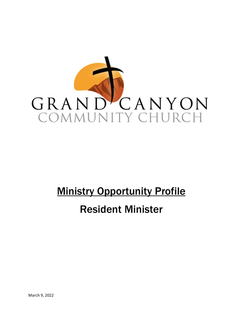

# **Ministry Opportunity Profile**

## Resident Minister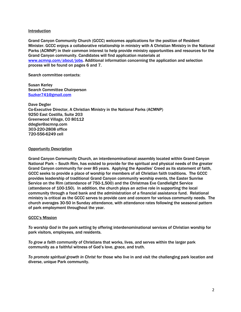## Introduction

Grand Canyon Community Church (GCCC) welcomes applications for the position of Resident Minister. GCCC enjoys a collaborative relationship in ministry with A Christian Ministry in the National Parks (ACMNP) in their common interest to help provide ministry opportunities and resources for the Grand Canyon community. Candidates will find application materials at [www.acmnp.com/about/jobs.](http://www.acmnp.com/about/jobs) Additional information concerning the application and selection process will be found on pages 6 and 7.

Search committee contacts:

Susan Kerley Search Committee Chairperson [Suzker741@gmail.com](mailto:Suzker741@gmail.com)

Dave Degler Co-Executive Director, A Christian Ministry in the National Parks (ACMNP) 9250 East Costilla, Suite 203 Greenwood Village, CO 80112 ddegler@acmnp.com 303-220-2808 office 720-556-6249 cell

## Opportunity Description

Grand Canyon Community Church, an interdenominational assembly located within Grand Canyon National Park – South Rim, has existed to provide for the spiritual and physical needs of the greater Grand Canyon community for over 85 years. Applying the Apostles' Creed as its statement of faith, GCCC seeks to provide a place of worship for members of all Christian faith traditions. The GCCC provides leadership of traditional Grand Canyon community worship events, the Easter Sunrise Service on the Rim (attendance of 750-1,500) and the Christmas Eve Candlelight Service (attendance of 100-150). In addition, the church plays an active role in supporting the local community through a food bank and the administration of a financial assistance fund. Relational ministry is critical as the GCCC serves to provide care and concern for various community needs. The church averages 30-50 in Sunday attendance, with attendance rates following the seasonal pattern of park employment throughout the year.

#### GCCC's Mission

*To worship God* in the park setting by offering interdenominational services of Christian worship for park visitors, employees, and residents.

*To grow a faith community* of Christians that works, lives, and serves within the larger park community as a faithful witness of God's love, grace, and truth.

*To promote spiritual growth in Christ* for those who live in and visit the challenging park location and diverse, unique Park community.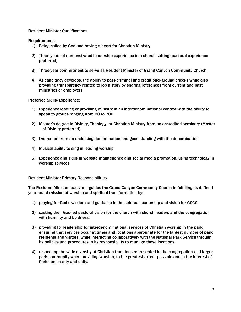## Resident Minister Qualifications

Requirements:

- 1) Being called by God and having a heart for Christian Ministry
- 2) Three years of demonstrated leadership experience in a church setting (pastoral experience preferred)
- 3) Three-year commitment to serve as Resident Minister of Grand Canyon Community Church
- 4) As candidacy develops, the ability to pass criminal and credit background checks while also providing transparency related to job history by sharing references from current and past ministries or employers

Preferred Skills/Experience:

- 1) Experience leading or providing ministry in an interdenominational context with the ability to speak to groups ranging from 20 to 700
- 2) Master's degree in Divinity, Theology, or Christian Ministry from an accredited seminary (Master of Divinity preferred)
- 3) Ordination from an endorsing denomination and good standing with the denomination
- 4) Musical ability to sing in leading worship
- 5) Experience and skills in website maintenance and social media promotion, using technology in worship services

#### Resident Minister Primary Responsibilities

The Resident Minister leads and guides the Grand Canyon Community Church in fulfilling its defined year-round mission of worship and spiritual transformation by:

- 1) praying for God's wisdom and guidance in the spiritual leadership and vision for GCCC.
- 2) casting their God-led pastoral vision for the church with church leaders and the congregation with humility and boldness.
- 3) providing for leadership for interdenominational services of Christian worship in the park, ensuring that services occur at times and locations appropriate for the largest number of park residents and visitors, while interacting collaboratively with the National Park Service through its policies and procedures in its responsibility to manage these locations.
- 4) respecting the wide diversity of Christian traditions represented in the congregation and larger park community when providing worship, to the greatest extent possible and in the interest of Christian charity and unity.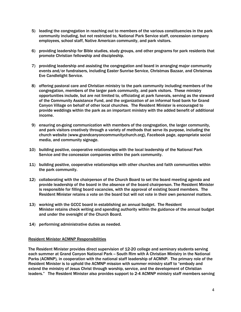- 5) leading the congregation in reaching out to members of the various constituencies in the park community including, but not restricted to, National Park Service staff, concession company employees, school staff, Native American community, and park visitors.
- 6) providing leadership for Bible studies, study groups, and other programs for park residents that promote Christian fellowship and discipleship.
- 7) providing leadership and assisting the congregation and board in arranging major community events and/or fundraisers, including Easter Sunrise Service, Christmas Bazaar, and Christmas Eve Candlelight Service.
- 8) offering pastoral care and Christian ministry to the park community including members of the congregation, members of the larger park community, and park visitors. These ministry opportunities include, but are not limited to, officiating at park funerals, serving as the steward of the Community Assistance Fund, and the organization of an informal food bank for Grand Canyon Village on behalf of other local churches. The Resident Minister is encouraged to provide weddings within the park as an important ministry with the added benefit of additional income.
- 9) ensuring on-going communication with members of the congregation, the larger community, and park visitors creatively through a variety of methods that serve its purpose, including the church website (www.grandcanyoncommunitychurch.org), Facebook page, appropriate social media, and community signage.
- 10) building positive, cooperative relationships with the local leadership of the National Park Service and the concession companies within the park community.
- 11) building positive, cooperative relationships with other churches and faith communities within the park community.
- 12) collaborating with the chairperson of the Church Board to set the board meeting agenda and provide leadership of the board in the absence of the board chairperson. The Resident Minister is responsible for filling board vacancies, with the approval of existing board members. The Resident Minister retains a vote on the board but will not vote in their own personnel matters.
- 13) working with the GCCC board in establishing an annual budget. The Resident Minister retains check writing and spending authority within the guidance of the annual budget and under the oversight of the Church Board.
- 14) performing administrative duties as needed.

## Resident Minister ACMNP Responsibilities

The Resident Minister provides direct supervision of 12-20 college and seminary students serving each summer at Grand Canyon National Park - South Rim with A Christian Ministry in the National Parks (ACMNP)*,* in cooperation with the national staff leadership of ACMNP. The primary role of the Resident Minister is to uphold the ACMNP mission with summer ministry staff to "embody and extend the ministry of Jesus Christ through worship, service, and the development of Christian leaders." The Resident Minister also provides support to 2-4 ACMNP ministry staff members serving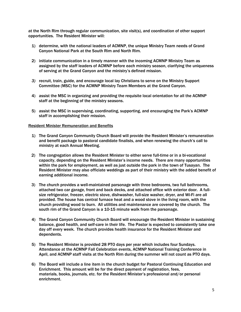at the North Rim through regular communication, site visit(s), and coordination of other support opportunities. The Resident Minister will:

- 1) determine, with the national leaders of ACMNP, the unique Ministry Team needs of Grand Canyon National Park at the South Rim and North Rim.
- 2) initiate communication in a timely manner with the incoming ACMNP Ministry Team as assigned by the staff leaders of ACMNP before each ministry season, clarifying the uniqueness of serving at the Grand Canyon and the ministry's defined mission.
- *3)* recruit, train, guide, and encourage local lay Christians to serve on the Ministry Support Committee (MSC) for the ACMNP Ministry Team Members at the Grand Canyon.
- 4) assist the MSC in organizing and providing the requisite local orientation for all the ACMNP staff at the beginning of the ministry seasons.
- 5) assist the MSC in supervising, coordinating, supporting, and encouraging the Park's ACMNP staff in accomplishing their mission.

## Resident Minister Remuneration and Benefits

- 1) The Grand Canyon Community Church Board will provide the Resident Minister's remuneration and benefit package to pastoral candidate finalists, and when renewing the church's call to ministry at each Annual Meeting.
- 2) The congregation allows the Resident Minister to either serve full-time or in a bi-vocational capacity, depending on the Resident Minister's income needs. There are many opportunities within the park for employment, as well as just outside the park in the town of Tusayan. The Resident Minister may also officiate weddings as part of their ministry with the added benefit of earning additional income.
- 3) The church provides a well-maintained parsonage with three bedrooms, two full bathrooms, attached two car garage, front and back decks, and attached office with exterior door. A fullsize refrigerator, freezer, electric stove, dishwasher, full-size washer, dryer, and Wi-Fi are all provided. The house has central furnace heat and a wood stove in the living room, with the church providing wood to burn. All utilities and maintenance are covered by the church. The south rim of the Grand Canyon is a 10-15 minute walk from the parsonage.
- 4) The Grand Canyon Community Church Board will encourage the Resident Minister in sustaining balance, good health, and self-care in their life. The Pastor is expected to consistently take one day off every week. The church provides health insurance for the Resident Minister and dependents.
- 5) The Resident Minister is provided 28 PTO days per year which includes four Sundays. Attendance at the ACMNP Fall Celebration events, ACMNP National Training Conference in April, and ACMNP staff visits at the North Rim during the summer will not count as PTO days.
- 6) The Board will include a line item in the church budget for Pastoral Continuing Education and Enrichment. This amount will be for the direct payment of registration, fees, materials, books, journals, etc. for the Resident Minister's professional and/or personal enrichment.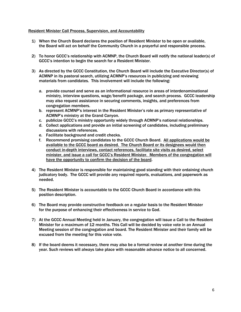## Resident Minister Call Process, Supervision, and Accountability

- 1) When the Church Board declares the position of Resident Minister to be open or available, the Board will act on behalf the Community Church in a prayerful and responsible process.
- 2) To honor GCCC's relationship with ACMNP, the Church Board will notify the national leader(s) of GCCC's intention to begin the search for a Resident Minister.
- 3) As directed by the GCCC Constitution, the Church Board will include the Executive Director(s) of ACMNP in its pastoral search, utilizing ACMNP's resources in publicizing and reviewing materials from candidates. This involvement will include the following:
	- a. provide counsel and serve as an informational resource in areas of interdenominational ministry, interview questions, wage/benefit package, and search process. GCCC leadership may also request assistance in securing comments, insights, and preferences from congregation members.
	- b. represent ACMNP's interest in the Resident Minister's role as primary representative of ACMNP's ministry at the Grand Canyon.
	- c. publicize GCCC's ministry opportunity widely through ACMNP's national relationships.
	- d. Collect applications and provide an initial screening of candidates, including preliminary discussions with references.
	- e. Facilitate background and credit checks.
	- f. Recommend promising candidates to the GCCC Church Board. All applications would be available to the GCCC board as desired. The Church Board or its designees would then conduct in-depth interviews, contact references, facilitate site visits as desired, select minister, and issue a call for GCCC's Resident Minister. Members of the congregation will have the opportunity to confirm the decision of the board.
- 4) The Resident Minister is responsible for maintaining good standing with their ordaining church judicatory body. The GCCC will provide any required reports, evaluations, and paperwork as needed.
- 5) The Resident Minister is accountable to the GCCC Church Board in accordance with this position description.
- 6) The Board may provide constructive feedback on a regular basis to the Resident Minister for the purpose of enhancing their effectiveness in service to God.
- 7) At the GCCC Annual Meeting held in January, the congregation will issue a Call to the Resident Minister for a maximum of 12 months. This Call will be decided by voice vote in an Annual Meeting session of the congregation and board. The Resident Minister and their family will be excused from the meeting for this voice vote.
- 8) If the board deems it necessary, there may also be a formal review at another time during the year. Such reviews will always take place with reasonable advance notice to all concerned.